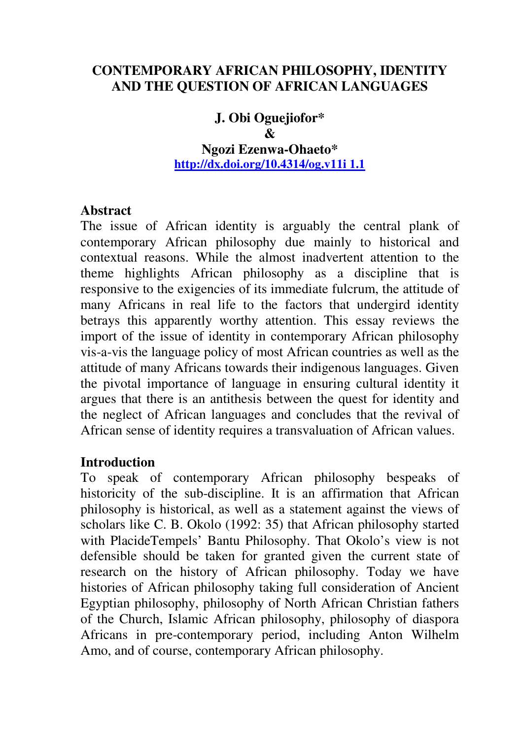# **CONTEMPORARY AFRICAN PHILOSOPHY, IDENTITY AND THE QUESTION OF AFRICAN LANGUAGES**

**J. Obi Oguejiofor\* & Ngozi Ezenwa-Ohaeto\* http://dx.doi.org/10.4314/og.v11i 1.1** 

#### **Abstract**

The issue of African identity is arguably the central plank of contemporary African philosophy due mainly to historical and contextual reasons. While the almost inadvertent attention to the theme highlights African philosophy as a discipline that is responsive to the exigencies of its immediate fulcrum, the attitude of many Africans in real life to the factors that undergird identity betrays this apparently worthy attention. This essay reviews the import of the issue of identity in contemporary African philosophy vis-a-vis the language policy of most African countries as well as the attitude of many Africans towards their indigenous languages. Given the pivotal importance of language in ensuring cultural identity it argues that there is an antithesis between the quest for identity and the neglect of African languages and concludes that the revival of African sense of identity requires a transvaluation of African values.

### **Introduction**

To speak of contemporary African philosophy bespeaks of historicity of the sub-discipline. It is an affirmation that African philosophy is historical, as well as a statement against the views of scholars like C. B. Okolo (1992: 35) that African philosophy started with PlacideTempels' Bantu Philosophy. That Okolo's view is not defensible should be taken for granted given the current state of research on the history of African philosophy. Today we have histories of African philosophy taking full consideration of Ancient Egyptian philosophy, philosophy of North African Christian fathers of the Church, Islamic African philosophy, philosophy of diaspora Africans in pre-contemporary period, including Anton Wilhelm Amo, and of course, contemporary African philosophy.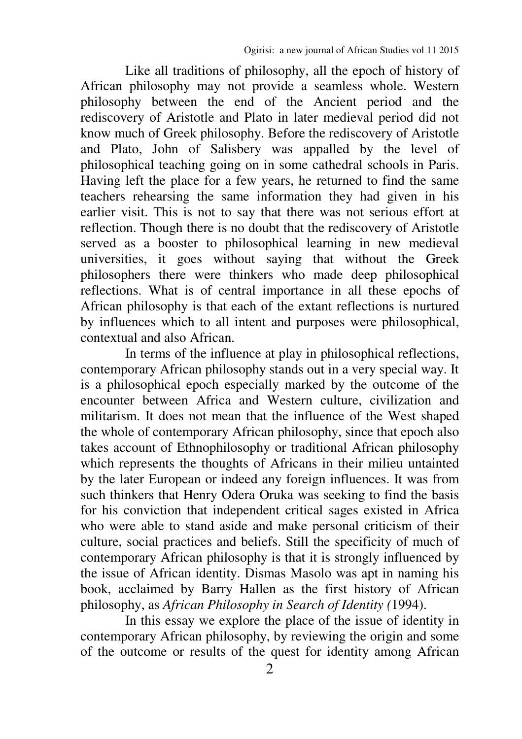Like all traditions of philosophy, all the epoch of history of African philosophy may not provide a seamless whole. Western philosophy between the end of the Ancient period and the rediscovery of Aristotle and Plato in later medieval period did not know much of Greek philosophy. Before the rediscovery of Aristotle and Plato, John of Salisbery was appalled by the level of philosophical teaching going on in some cathedral schools in Paris. Having left the place for a few years, he returned to find the same teachers rehearsing the same information they had given in his earlier visit. This is not to say that there was not serious effort at reflection. Though there is no doubt that the rediscovery of Aristotle served as a booster to philosophical learning in new medieval universities, it goes without saying that without the Greek philosophers there were thinkers who made deep philosophical reflections. What is of central importance in all these epochs of African philosophy is that each of the extant reflections is nurtured by influences which to all intent and purposes were philosophical, contextual and also African.

In terms of the influence at play in philosophical reflections, contemporary African philosophy stands out in a very special way. It is a philosophical epoch especially marked by the outcome of the encounter between Africa and Western culture, civilization and militarism. It does not mean that the influence of the West shaped the whole of contemporary African philosophy, since that epoch also takes account of Ethnophilosophy or traditional African philosophy which represents the thoughts of Africans in their milieu untainted by the later European or indeed any foreign influences. It was from such thinkers that Henry Odera Oruka was seeking to find the basis for his conviction that independent critical sages existed in Africa who were able to stand aside and make personal criticism of their culture, social practices and beliefs. Still the specificity of much of contemporary African philosophy is that it is strongly influenced by the issue of African identity. Dismas Masolo was apt in naming his book, acclaimed by Barry Hallen as the first history of African philosophy, as *African Philosophy in Search of Identity (*1994).

In this essay we explore the place of the issue of identity in contemporary African philosophy, by reviewing the origin and some of the outcome or results of the quest for identity among African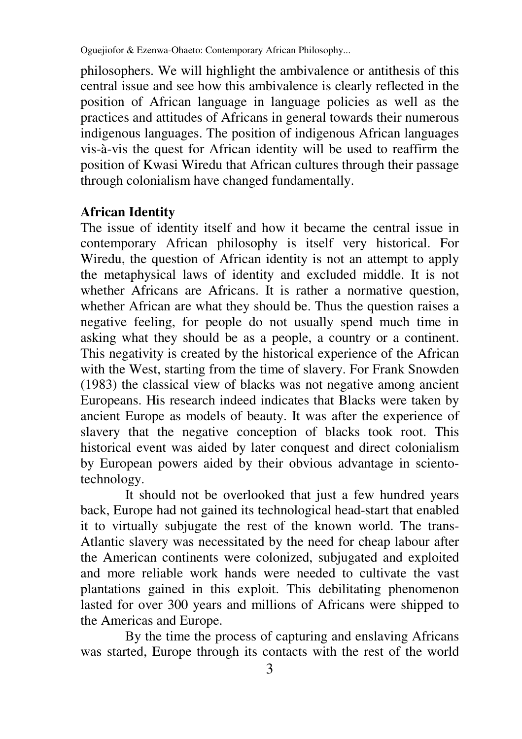philosophers. We will highlight the ambivalence or antithesis of this central issue and see how this ambivalence is clearly reflected in the position of African language in language policies as well as the practices and attitudes of Africans in general towards their numerous indigenous languages. The position of indigenous African languages vis-à-vis the quest for African identity will be used to reaffirm the position of Kwasi Wiredu that African cultures through their passage through colonialism have changed fundamentally.

## **African Identity**

The issue of identity itself and how it became the central issue in contemporary African philosophy is itself very historical. For Wiredu, the question of African identity is not an attempt to apply the metaphysical laws of identity and excluded middle. It is not whether Africans are Africans. It is rather a normative question, whether African are what they should be. Thus the question raises a negative feeling, for people do not usually spend much time in asking what they should be as a people, a country or a continent. This negativity is created by the historical experience of the African with the West, starting from the time of slavery. For Frank Snowden (1983) the classical view of blacks was not negative among ancient Europeans. His research indeed indicates that Blacks were taken by ancient Europe as models of beauty. It was after the experience of slavery that the negative conception of blacks took root. This historical event was aided by later conquest and direct colonialism by European powers aided by their obvious advantage in scientotechnology.

It should not be overlooked that just a few hundred years back, Europe had not gained its technological head-start that enabled it to virtually subjugate the rest of the known world. The trans-Atlantic slavery was necessitated by the need for cheap labour after the American continents were colonized, subjugated and exploited and more reliable work hands were needed to cultivate the vast plantations gained in this exploit. This debilitating phenomenon lasted for over 300 years and millions of Africans were shipped to the Americas and Europe.

By the time the process of capturing and enslaving Africans was started, Europe through its contacts with the rest of the world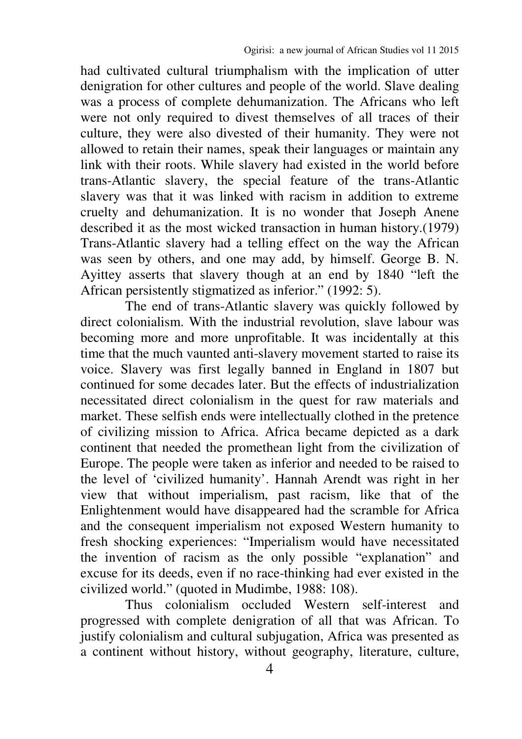had cultivated cultural triumphalism with the implication of utter denigration for other cultures and people of the world. Slave dealing was a process of complete dehumanization. The Africans who left were not only required to divest themselves of all traces of their culture, they were also divested of their humanity. They were not allowed to retain their names, speak their languages or maintain any link with their roots. While slavery had existed in the world before trans-Atlantic slavery, the special feature of the trans-Atlantic slavery was that it was linked with racism in addition to extreme cruelty and dehumanization. It is no wonder that Joseph Anene described it as the most wicked transaction in human history.(1979) Trans-Atlantic slavery had a telling effect on the way the African was seen by others, and one may add, by himself. George B. N. Ayittey asserts that slavery though at an end by 1840 "left the African persistently stigmatized as inferior." (1992: 5).

The end of trans-Atlantic slavery was quickly followed by direct colonialism. With the industrial revolution, slave labour was becoming more and more unprofitable. It was incidentally at this time that the much vaunted anti-slavery movement started to raise its voice. Slavery was first legally banned in England in 1807 but continued for some decades later. But the effects of industrialization necessitated direct colonialism in the quest for raw materials and market. These selfish ends were intellectually clothed in the pretence of civilizing mission to Africa. Africa became depicted as a dark continent that needed the promethean light from the civilization of Europe. The people were taken as inferior and needed to be raised to the level of 'civilized humanity'. Hannah Arendt was right in her view that without imperialism, past racism, like that of the Enlightenment would have disappeared had the scramble for Africa and the consequent imperialism not exposed Western humanity to fresh shocking experiences: "Imperialism would have necessitated the invention of racism as the only possible "explanation" and excuse for its deeds, even if no race-thinking had ever existed in the civilized world." (quoted in Mudimbe, 1988: 108).

Thus colonialism occluded Western self-interest and progressed with complete denigration of all that was African. To justify colonialism and cultural subjugation, Africa was presented as a continent without history, without geography, literature, culture,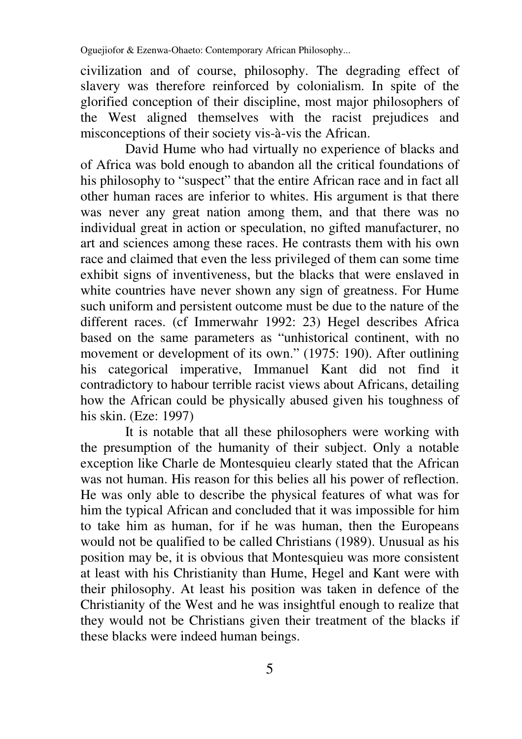civilization and of course, philosophy. The degrading effect of slavery was therefore reinforced by colonialism. In spite of the glorified conception of their discipline, most major philosophers of the West aligned themselves with the racist prejudices and misconceptions of their society vis-à-vis the African.

David Hume who had virtually no experience of blacks and of Africa was bold enough to abandon all the critical foundations of his philosophy to "suspect" that the entire African race and in fact all other human races are inferior to whites. His argument is that there was never any great nation among them, and that there was no individual great in action or speculation, no gifted manufacturer, no art and sciences among these races. He contrasts them with his own race and claimed that even the less privileged of them can some time exhibit signs of inventiveness, but the blacks that were enslaved in white countries have never shown any sign of greatness. For Hume such uniform and persistent outcome must be due to the nature of the different races. (cf Immerwahr 1992: 23) Hegel describes Africa based on the same parameters as "unhistorical continent, with no movement or development of its own." (1975: 190). After outlining his categorical imperative, Immanuel Kant did not find it contradictory to habour terrible racist views about Africans, detailing how the African could be physically abused given his toughness of his skin. (Eze: 1997)

It is notable that all these philosophers were working with the presumption of the humanity of their subject. Only a notable exception like Charle de Montesquieu clearly stated that the African was not human. His reason for this belies all his power of reflection. He was only able to describe the physical features of what was for him the typical African and concluded that it was impossible for him to take him as human, for if he was human, then the Europeans would not be qualified to be called Christians (1989). Unusual as his position may be, it is obvious that Montesquieu was more consistent at least with his Christianity than Hume, Hegel and Kant were with their philosophy. At least his position was taken in defence of the Christianity of the West and he was insightful enough to realize that they would not be Christians given their treatment of the blacks if these blacks were indeed human beings.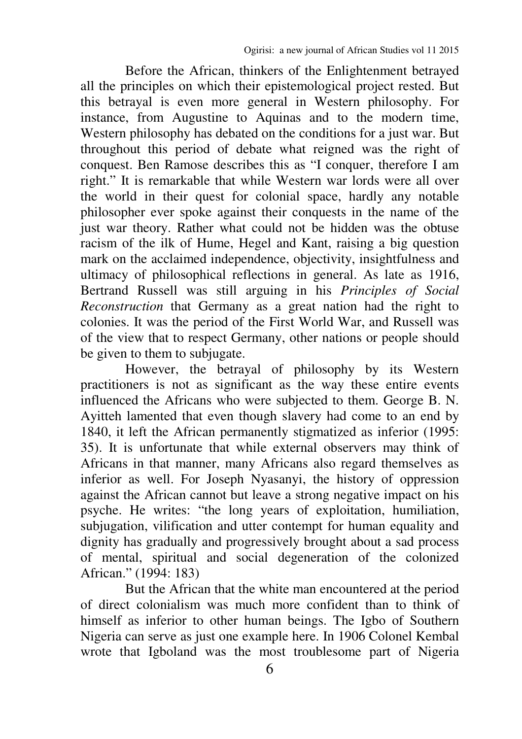Before the African, thinkers of the Enlightenment betrayed all the principles on which their epistemological project rested. But this betrayal is even more general in Western philosophy. For instance, from Augustine to Aquinas and to the modern time, Western philosophy has debated on the conditions for a just war. But throughout this period of debate what reigned was the right of conquest. Ben Ramose describes this as "I conquer, therefore I am right." It is remarkable that while Western war lords were all over the world in their quest for colonial space, hardly any notable philosopher ever spoke against their conquests in the name of the just war theory. Rather what could not be hidden was the obtuse racism of the ilk of Hume, Hegel and Kant, raising a big question mark on the acclaimed independence, objectivity, insightfulness and ultimacy of philosophical reflections in general. As late as 1916, Bertrand Russell was still arguing in his *Principles of Social Reconstruction* that Germany as a great nation had the right to colonies. It was the period of the First World War, and Russell was of the view that to respect Germany, other nations or people should be given to them to subjugate.

However, the betrayal of philosophy by its Western practitioners is not as significant as the way these entire events influenced the Africans who were subjected to them. George B. N. Ayitteh lamented that even though slavery had come to an end by 1840, it left the African permanently stigmatized as inferior (1995: 35). It is unfortunate that while external observers may think of Africans in that manner, many Africans also regard themselves as inferior as well. For Joseph Nyasanyi, the history of oppression against the African cannot but leave a strong negative impact on his psyche. He writes: "the long years of exploitation, humiliation, subjugation, vilification and utter contempt for human equality and dignity has gradually and progressively brought about a sad process of mental, spiritual and social degeneration of the colonized African." (1994: 183)

But the African that the white man encountered at the period of direct colonialism was much more confident than to think of himself as inferior to other human beings. The Igbo of Southern Nigeria can serve as just one example here. In 1906 Colonel Kembal wrote that Igboland was the most troublesome part of Nigeria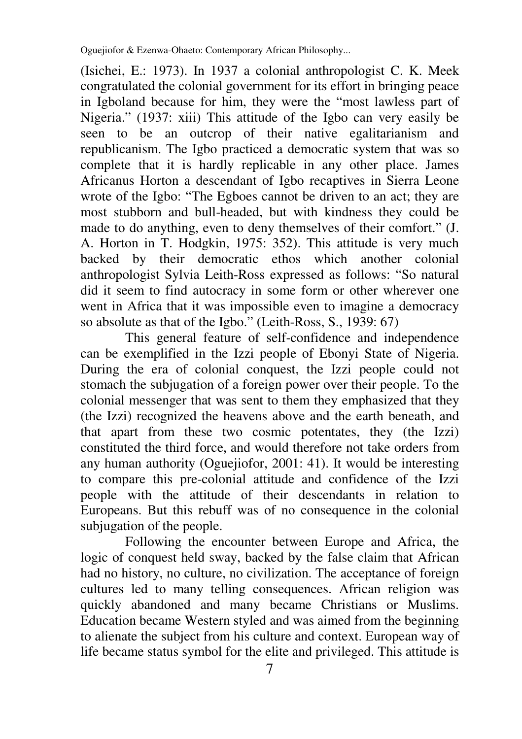(Isichei, E.: 1973). In 1937 a colonial anthropologist C. K. Meek congratulated the colonial government for its effort in bringing peace in Igboland because for him, they were the "most lawless part of Nigeria." (1937: xiii) This attitude of the Igbo can very easily be seen to be an outcrop of their native egalitarianism and republicanism. The Igbo practiced a democratic system that was so complete that it is hardly replicable in any other place. James Africanus Horton a descendant of Igbo recaptives in Sierra Leone wrote of the Igbo: "The Egboes cannot be driven to an act; they are most stubborn and bull-headed, but with kindness they could be made to do anything, even to deny themselves of their comfort." (J. A. Horton in T. Hodgkin, 1975: 352). This attitude is very much backed by their democratic ethos which another colonial anthropologist Sylvia Leith-Ross expressed as follows: "So natural did it seem to find autocracy in some form or other wherever one went in Africa that it was impossible even to imagine a democracy so absolute as that of the Igbo." (Leith-Ross, S., 1939: 67)

This general feature of self-confidence and independence can be exemplified in the Izzi people of Ebonyi State of Nigeria. During the era of colonial conquest, the Izzi people could not stomach the subjugation of a foreign power over their people. To the colonial messenger that was sent to them they emphasized that they (the Izzi) recognized the heavens above and the earth beneath, and that apart from these two cosmic potentates, they (the Izzi) constituted the third force, and would therefore not take orders from any human authority (Oguejiofor, 2001: 41). It would be interesting to compare this pre-colonial attitude and confidence of the Izzi people with the attitude of their descendants in relation to Europeans. But this rebuff was of no consequence in the colonial subjugation of the people.

Following the encounter between Europe and Africa, the logic of conquest held sway, backed by the false claim that African had no history, no culture, no civilization. The acceptance of foreign cultures led to many telling consequences. African religion was quickly abandoned and many became Christians or Muslims. Education became Western styled and was aimed from the beginning to alienate the subject from his culture and context. European way of life became status symbol for the elite and privileged. This attitude is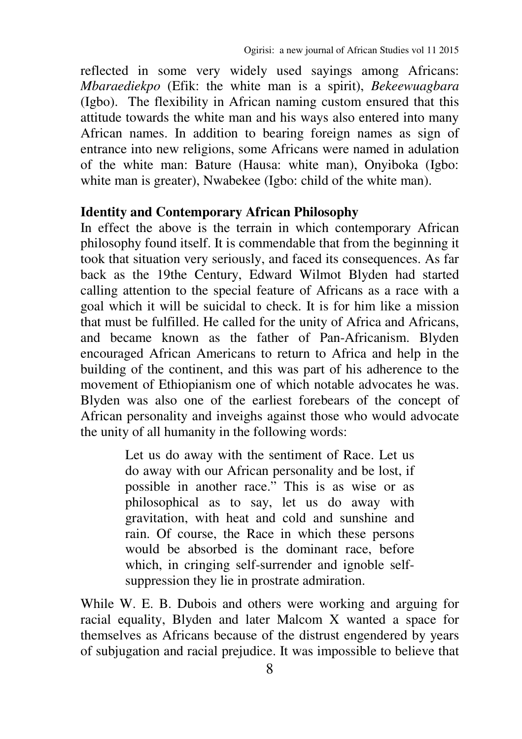reflected in some very widely used sayings among Africans: *Mbaraediekpo* (Efik: the white man is a spirit), *Bekeewuagbara* (Igbo). The flexibility in African naming custom ensured that this attitude towards the white man and his ways also entered into many African names. In addition to bearing foreign names as sign of entrance into new religions, some Africans were named in adulation of the white man: Bature (Hausa: white man), Onyiboka (Igbo: white man is greater), Nwabekee (Igbo: child of the white man).

#### **Identity and Contemporary African Philosophy**

In effect the above is the terrain in which contemporary African philosophy found itself. It is commendable that from the beginning it took that situation very seriously, and faced its consequences. As far back as the 19the Century, Edward Wilmot Blyden had started calling attention to the special feature of Africans as a race with a goal which it will be suicidal to check. It is for him like a mission that must be fulfilled. He called for the unity of Africa and Africans, and became known as the father of Pan-Africanism. Blyden encouraged African Americans to return to Africa and help in the building of the continent, and this was part of his adherence to the movement of Ethiopianism one of which notable advocates he was. Blyden was also one of the earliest forebears of the concept of African personality and inveighs against those who would advocate the unity of all humanity in the following words:

> Let us do away with the sentiment of Race. Let us do away with our African personality and be lost, if possible in another race." This is as wise or as philosophical as to say, let us do away with gravitation, with heat and cold and sunshine and rain. Of course, the Race in which these persons would be absorbed is the dominant race, before which, in cringing self-surrender and ignoble selfsuppression they lie in prostrate admiration.

While W. E. B. Dubois and others were working and arguing for racial equality, Blyden and later Malcom X wanted a space for themselves as Africans because of the distrust engendered by years of subjugation and racial prejudice. It was impossible to believe that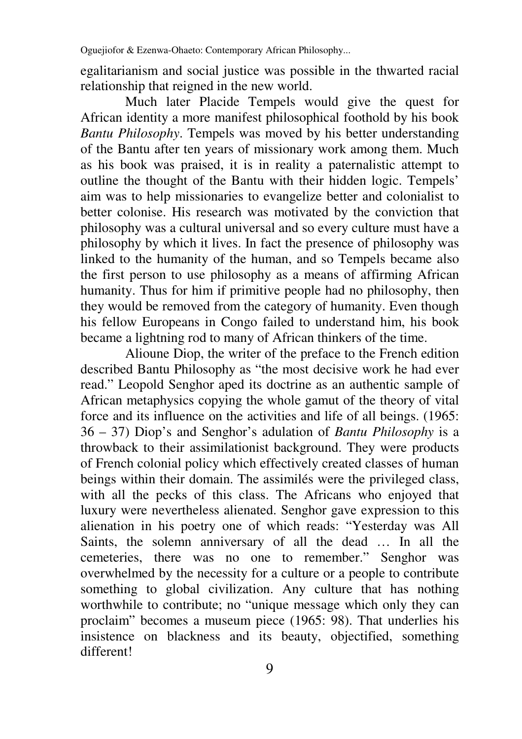egalitarianism and social justice was possible in the thwarted racial relationship that reigned in the new world.

Much later Placide Tempels would give the quest for African identity a more manifest philosophical foothold by his book *Bantu Philosophy*. Tempels was moved by his better understanding of the Bantu after ten years of missionary work among them. Much as his book was praised, it is in reality a paternalistic attempt to outline the thought of the Bantu with their hidden logic. Tempels' aim was to help missionaries to evangelize better and colonialist to better colonise. His research was motivated by the conviction that philosophy was a cultural universal and so every culture must have a philosophy by which it lives. In fact the presence of philosophy was linked to the humanity of the human, and so Tempels became also the first person to use philosophy as a means of affirming African humanity. Thus for him if primitive people had no philosophy, then they would be removed from the category of humanity. Even though his fellow Europeans in Congo failed to understand him, his book became a lightning rod to many of African thinkers of the time.

Alioune Diop, the writer of the preface to the French edition described Bantu Philosophy as "the most decisive work he had ever read." Leopold Senghor aped its doctrine as an authentic sample of African metaphysics copying the whole gamut of the theory of vital force and its influence on the activities and life of all beings. (1965: 36 – 37) Diop's and Senghor's adulation of *Bantu Philosophy* is a throwback to their assimilationist background. They were products of French colonial policy which effectively created classes of human beings within their domain. The assimilés were the privileged class, with all the pecks of this class. The Africans who enjoyed that luxury were nevertheless alienated. Senghor gave expression to this alienation in his poetry one of which reads: "Yesterday was All Saints, the solemn anniversary of all the dead … In all the cemeteries, there was no one to remember." Senghor was overwhelmed by the necessity for a culture or a people to contribute something to global civilization. Any culture that has nothing worthwhile to contribute; no "unique message which only they can proclaim" becomes a museum piece (1965: 98). That underlies his insistence on blackness and its beauty, objectified, something different!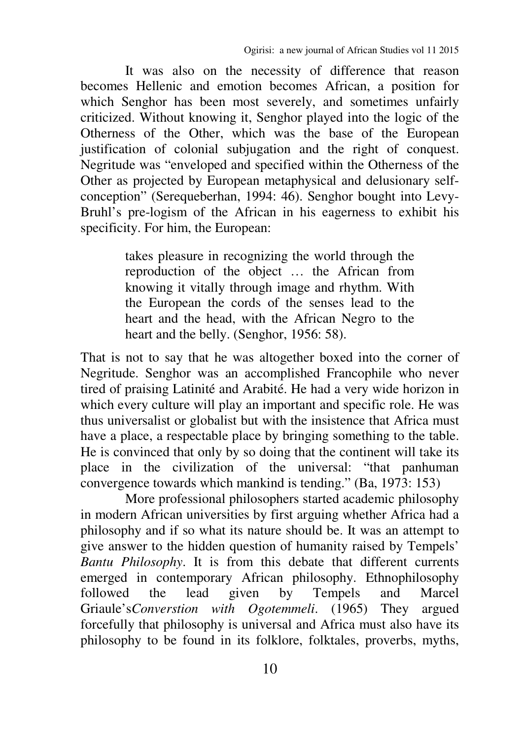It was also on the necessity of difference that reason becomes Hellenic and emotion becomes African, a position for which Senghor has been most severely, and sometimes unfairly criticized. Without knowing it, Senghor played into the logic of the Otherness of the Other, which was the base of the European justification of colonial subjugation and the right of conquest. Negritude was "enveloped and specified within the Otherness of the Other as projected by European metaphysical and delusionary selfconception" (Serequeberhan, 1994: 46). Senghor bought into Levy-Bruhl's pre-logism of the African in his eagerness to exhibit his specificity. For him, the European:

> takes pleasure in recognizing the world through the reproduction of the object … the African from knowing it vitally through image and rhythm. With the European the cords of the senses lead to the heart and the head, with the African Negro to the heart and the belly. (Senghor, 1956: 58).

That is not to say that he was altogether boxed into the corner of Negritude. Senghor was an accomplished Francophile who never tired of praising Latinité and Arabité. He had a very wide horizon in which every culture will play an important and specific role. He was thus universalist or globalist but with the insistence that Africa must have a place, a respectable place by bringing something to the table. He is convinced that only by so doing that the continent will take its place in the civilization of the universal: "that panhuman convergence towards which mankind is tending." (Ba, 1973: 153)

More professional philosophers started academic philosophy in modern African universities by first arguing whether Africa had a philosophy and if so what its nature should be. It was an attempt to give answer to the hidden question of humanity raised by Tempels' *Bantu Philosophy*. It is from this debate that different currents emerged in contemporary African philosophy. Ethnophilosophy followed the lead given by Tempels and Marcel Griaule's*Converstion with Ogotemmeli*. (1965) They argued forcefully that philosophy is universal and Africa must also have its philosophy to be found in its folklore, folktales, proverbs, myths,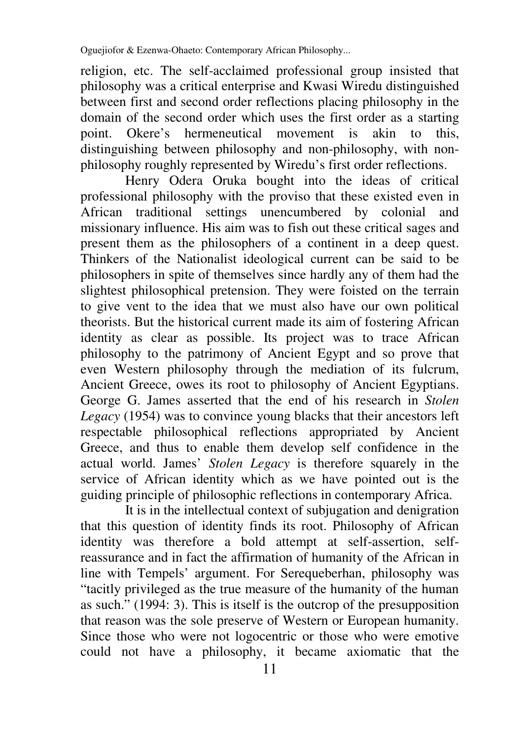religion, etc. The self-acclaimed professional group insisted that philosophy was a critical enterprise and Kwasi Wiredu distinguished between first and second order reflections placing philosophy in the domain of the second order which uses the first order as a starting point. Okere's hermeneutical movement is akin to this, distinguishing between philosophy and non-philosophy, with nonphilosophy roughly represented by Wiredu's first order reflections.

Henry Odera Oruka bought into the ideas of critical professional philosophy with the proviso that these existed even in African traditional settings unencumbered by colonial and missionary influence. His aim was to fish out these critical sages and present them as the philosophers of a continent in a deep quest. Thinkers of the Nationalist ideological current can be said to be philosophers in spite of themselves since hardly any of them had the slightest philosophical pretension. They were foisted on the terrain to give vent to the idea that we must also have our own political theorists. But the historical current made its aim of fostering African identity as clear as possible. Its project was to trace African philosophy to the patrimony of Ancient Egypt and so prove that even Western philosophy through the mediation of its fulcrum, Ancient Greece, owes its root to philosophy of Ancient Egyptians. George G. James asserted that the end of his research in *Stolen Legacy* (1954) was to convince young blacks that their ancestors left respectable philosophical reflections appropriated by Ancient Greece, and thus to enable them develop self confidence in the actual world. James' *Stolen Legacy* is therefore squarely in the service of African identity which as we have pointed out is the guiding principle of philosophic reflections in contemporary Africa.

It is in the intellectual context of subjugation and denigration that this question of identity finds its root. Philosophy of African identity was therefore a bold attempt at self-assertion, selfreassurance and in fact the affirmation of humanity of the African in line with Tempels' argument. For Serequeberhan, philosophy was "tacitly privileged as the true measure of the humanity of the human as such." (1994: 3). This is itself is the outcrop of the presupposition that reason was the sole preserve of Western or European humanity. Since those who were not logocentric or those who were emotive could not have a philosophy, it became axiomatic that the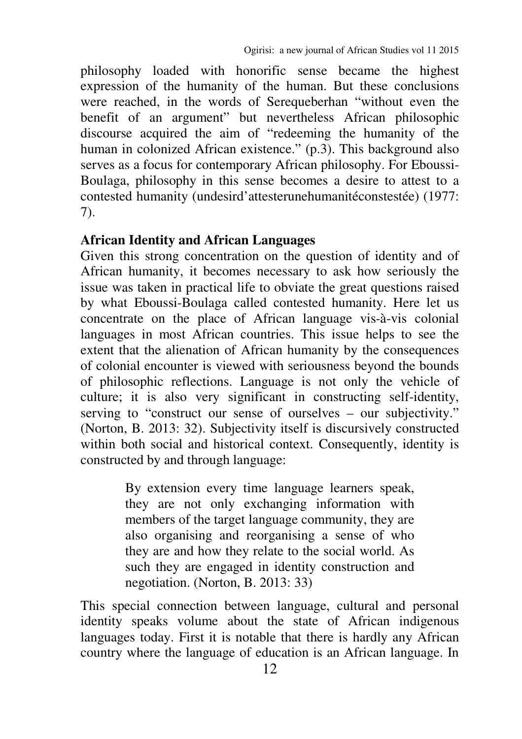philosophy loaded with honorific sense became the highest expression of the humanity of the human. But these conclusions were reached, in the words of Serequeberhan "without even the benefit of an argument" but nevertheless African philosophic discourse acquired the aim of "redeeming the humanity of the human in colonized African existence." (p.3). This background also serves as a focus for contemporary African philosophy. For Eboussi-Boulaga, philosophy in this sense becomes a desire to attest to a contested humanity (undesird'attesterunehumanitéconstestée) (1977: 7).

### **African Identity and African Languages**

Given this strong concentration on the question of identity and of African humanity, it becomes necessary to ask how seriously the issue was taken in practical life to obviate the great questions raised by what Eboussi-Boulaga called contested humanity. Here let us concentrate on the place of African language vis-à-vis colonial languages in most African countries. This issue helps to see the extent that the alienation of African humanity by the consequences of colonial encounter is viewed with seriousness beyond the bounds of philosophic reflections. Language is not only the vehicle of culture; it is also very significant in constructing self-identity, serving to "construct our sense of ourselves – our subjectivity." (Norton, B. 2013: 32). Subjectivity itself is discursively constructed within both social and historical context. Consequently, identity is constructed by and through language:

> By extension every time language learners speak, they are not only exchanging information with members of the target language community, they are also organising and reorganising a sense of who they are and how they relate to the social world. As such they are engaged in identity construction and negotiation. (Norton, B. 2013: 33)

This special connection between language, cultural and personal identity speaks volume about the state of African indigenous languages today. First it is notable that there is hardly any African country where the language of education is an African language. In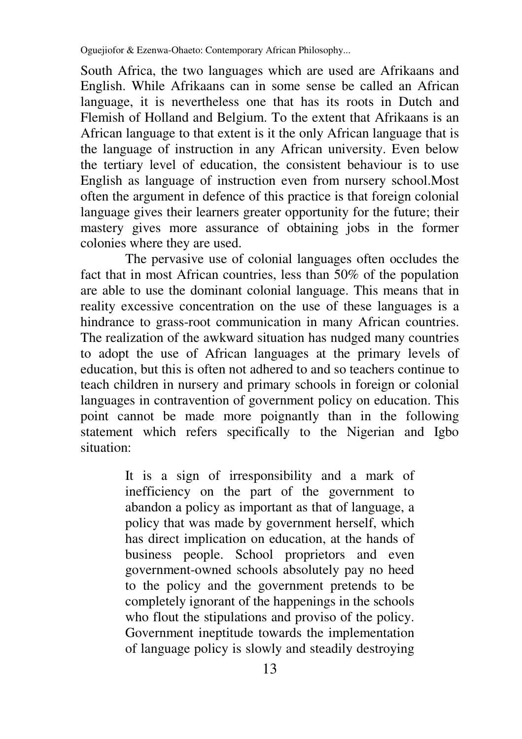South Africa, the two languages which are used are Afrikaans and English. While Afrikaans can in some sense be called an African language, it is nevertheless one that has its roots in Dutch and Flemish of Holland and Belgium. To the extent that Afrikaans is an African language to that extent is it the only African language that is the language of instruction in any African university. Even below the tertiary level of education, the consistent behaviour is to use English as language of instruction even from nursery school.Most often the argument in defence of this practice is that foreign colonial language gives their learners greater opportunity for the future; their mastery gives more assurance of obtaining jobs in the former colonies where they are used.

The pervasive use of colonial languages often occludes the fact that in most African countries, less than 50% of the population are able to use the dominant colonial language. This means that in reality excessive concentration on the use of these languages is a hindrance to grass-root communication in many African countries. The realization of the awkward situation has nudged many countries to adopt the use of African languages at the primary levels of education, but this is often not adhered to and so teachers continue to teach children in nursery and primary schools in foreign or colonial languages in contravention of government policy on education. This point cannot be made more poignantly than in the following statement which refers specifically to the Nigerian and Igbo situation:

> It is a sign of irresponsibility and a mark of inefficiency on the part of the government to abandon a policy as important as that of language, a policy that was made by government herself, which has direct implication on education, at the hands of business people. School proprietors and even government-owned schools absolutely pay no heed to the policy and the government pretends to be completely ignorant of the happenings in the schools who flout the stipulations and proviso of the policy. Government ineptitude towards the implementation of language policy is slowly and steadily destroying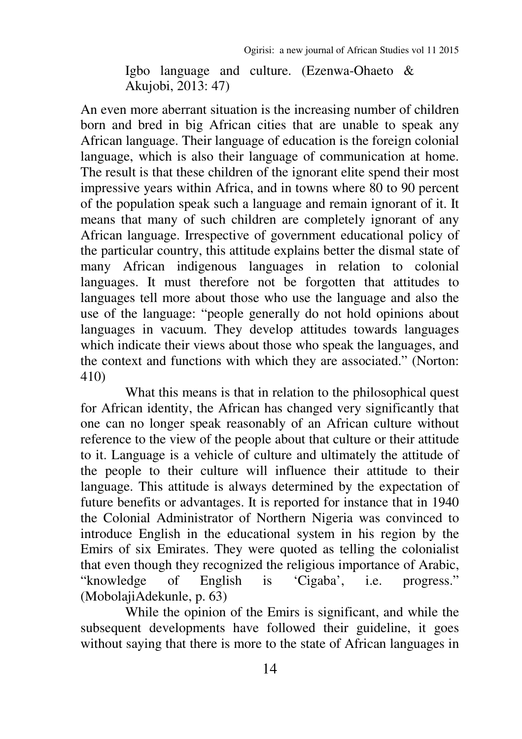Igbo language and culture. (Ezenwa-Ohaeto & Akujobi, 2013: 47)

An even more aberrant situation is the increasing number of children born and bred in big African cities that are unable to speak any African language. Their language of education is the foreign colonial language, which is also their language of communication at home. The result is that these children of the ignorant elite spend their most impressive years within Africa, and in towns where 80 to 90 percent of the population speak such a language and remain ignorant of it. It means that many of such children are completely ignorant of any African language. Irrespective of government educational policy of the particular country, this attitude explains better the dismal state of many African indigenous languages in relation to colonial languages. It must therefore not be forgotten that attitudes to languages tell more about those who use the language and also the use of the language: "people generally do not hold opinions about languages in vacuum. They develop attitudes towards languages which indicate their views about those who speak the languages, and the context and functions with which they are associated." (Norton: 410)

What this means is that in relation to the philosophical quest for African identity, the African has changed very significantly that one can no longer speak reasonably of an African culture without reference to the view of the people about that culture or their attitude to it. Language is a vehicle of culture and ultimately the attitude of the people to their culture will influence their attitude to their language. This attitude is always determined by the expectation of future benefits or advantages. It is reported for instance that in 1940 the Colonial Administrator of Northern Nigeria was convinced to introduce English in the educational system in his region by the Emirs of six Emirates. They were quoted as telling the colonialist that even though they recognized the religious importance of Arabic, "knowledge of English is 'Cigaba', i.e. progress." (MobolajiAdekunle, p. 63)

While the opinion of the Emirs is significant, and while the subsequent developments have followed their guideline, it goes without saying that there is more to the state of African languages in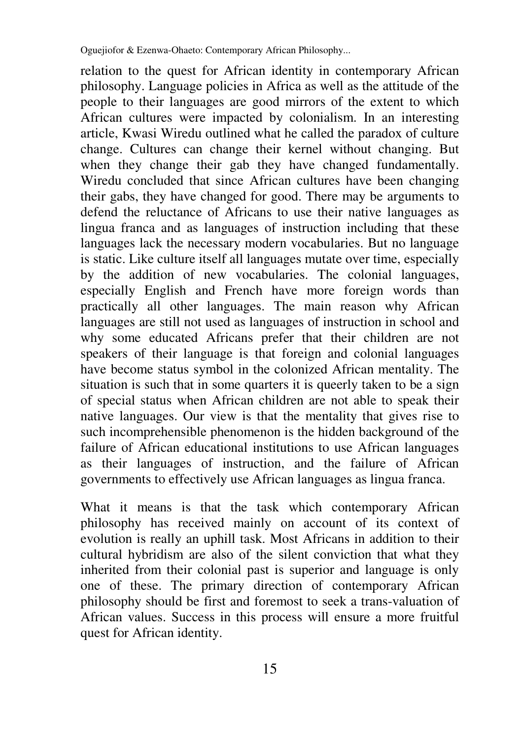relation to the quest for African identity in contemporary African philosophy. Language policies in Africa as well as the attitude of the people to their languages are good mirrors of the extent to which African cultures were impacted by colonialism. In an interesting article, Kwasi Wiredu outlined what he called the paradox of culture change. Cultures can change their kernel without changing. But when they change their gab they have changed fundamentally. Wiredu concluded that since African cultures have been changing their gabs, they have changed for good. There may be arguments to defend the reluctance of Africans to use their native languages as lingua franca and as languages of instruction including that these languages lack the necessary modern vocabularies. But no language is static. Like culture itself all languages mutate over time, especially by the addition of new vocabularies. The colonial languages, especially English and French have more foreign words than practically all other languages. The main reason why African languages are still not used as languages of instruction in school and why some educated Africans prefer that their children are not speakers of their language is that foreign and colonial languages have become status symbol in the colonized African mentality. The situation is such that in some quarters it is queerly taken to be a sign of special status when African children are not able to speak their native languages. Our view is that the mentality that gives rise to such incomprehensible phenomenon is the hidden background of the failure of African educational institutions to use African languages as their languages of instruction, and the failure of African governments to effectively use African languages as lingua franca.

What it means is that the task which contemporary African philosophy has received mainly on account of its context of evolution is really an uphill task. Most Africans in addition to their cultural hybridism are also of the silent conviction that what they inherited from their colonial past is superior and language is only one of these. The primary direction of contemporary African philosophy should be first and foremost to seek a trans-valuation of African values. Success in this process will ensure a more fruitful quest for African identity.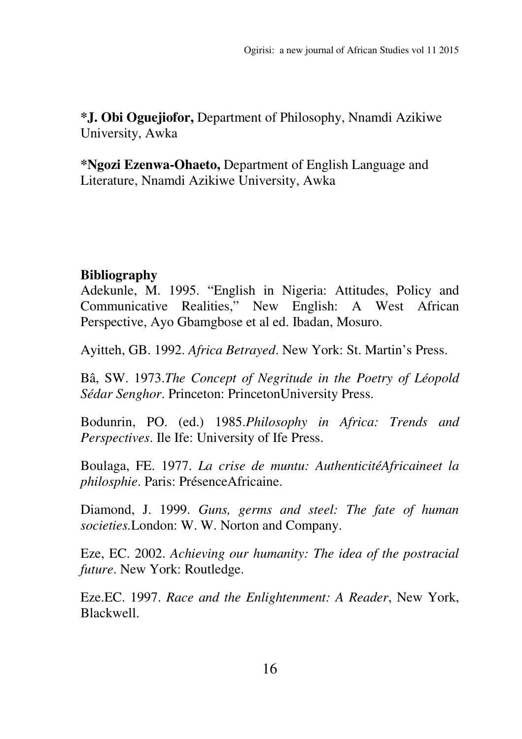**\*J. Obi Oguejiofor,** Department of Philosophy, Nnamdi Azikiwe University, Awka

**\*Ngozi Ezenwa-Ohaeto,** Department of English Language and Literature, Nnamdi Azikiwe University, Awka

## **Bibliography**

Adekunle, M. 1995. "English in Nigeria: Attitudes, Policy and Communicative Realities," New English: A West African Perspective, Ayo Gbamgbose et al ed. Ibadan, Mosuro.

Ayitteh, GB. 1992. *Africa Betrayed*. New York: St. Martin's Press.

Bâ, SW. 1973.*The Concept of Negritude in the Poetry of Léopold Sédar Senghor*. Princeton: PrincetonUniversity Press.

Bodunrin, PO. (ed.) 1985.*Philosophy in Africa: Trends and Perspectives*. Ile Ife: University of Ife Press.

Boulaga, FE. 1977. *La crise de muntu: AuthenticitéAfricaineet la philosphie*. Paris: PrésenceAfricaine.

Diamond, J. 1999. *Guns, germs and steel: The fate of human societies.*London: W. W. Norton and Company.

Eze, EC. 2002. *Achieving our humanity: The idea of the postracial future*. New York: Routledge.

Eze.EC. 1997. *Race and the Enlightenment: A Reader*, New York, Blackwell.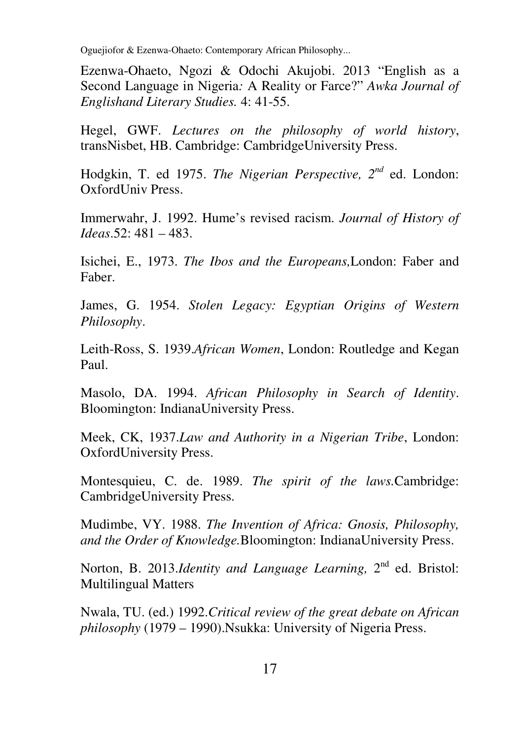Ezenwa-Ohaeto, Ngozi & Odochi Akujobi. 2013 "English as a Second Language in Nigeria*:* A Reality or Farce?" *Awka Journal of Englishand Literary Studies.* 4: 41-55.

Hegel, GWF. *Lectures on the philosophy of world history*, transNisbet, HB. Cambridge: CambridgeUniversity Press.

Hodgkin, T. ed 1975. *The Nigerian Perspective, 2nd* ed. London: OxfordUniv Press.

Immerwahr, J. 1992. Hume's revised racism. *Journal of History of Ideas*.52: 481 – 483.

Isichei, E., 1973. *The Ibos and the Europeans,*London: Faber and Faber.

James, G. 1954. *Stolen Legacy: Egyptian Origins of Western Philosophy*.

Leith-Ross, S. 1939.*African Women*, London: Routledge and Kegan Paul.

Masolo, DA. 1994. *African Philosophy in Search of Identity*. Bloomington: IndianaUniversity Press.

Meek, CK, 1937.*Law and Authority in a Nigerian Tribe*, London: OxfordUniversity Press.

Montesquieu, C. de. 1989. *The spirit of the laws.*Cambridge: CambridgeUniversity Press.

Mudimbe, VY. 1988. *The Invention of Africa: Gnosis, Philosophy, and the Order of Knowledge.*Bloomington: IndianaUniversity Press.

Norton, B. 2013.*Identity and Language Learning,* 2nd ed. Bristol: Multilingual Matters

Nwala, TU. (ed.) 1992.*Critical review of the great debate on African philosophy* (1979 – 1990).Nsukka: University of Nigeria Press.